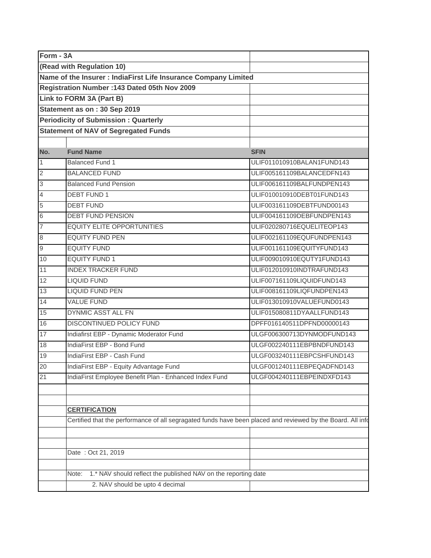| Form - 3A |                                                                                                             |                            |
|-----------|-------------------------------------------------------------------------------------------------------------|----------------------------|
|           | (Read with Regulation 10)                                                                                   |                            |
|           | Name of the Insurer : IndiaFirst Life Insurance Company Limited                                             |                            |
|           | Registration Number : 143 Dated 05th Nov 2009                                                               |                            |
|           | Link to FORM 3A (Part B)                                                                                    |                            |
|           | Statement as on: 30 Sep 2019                                                                                |                            |
|           | <b>Periodicity of Submission: Quarterly</b>                                                                 |                            |
|           | <b>Statement of NAV of Segregated Funds</b>                                                                 |                            |
|           |                                                                                                             |                            |
| No.       | <b>Fund Name</b>                                                                                            | <b>SFIN</b>                |
|           | <b>Balanced Fund 1</b>                                                                                      | ULIF011010910BALAN1FUND143 |
|           | <b>BALANCED FUND</b>                                                                                        | ULIF005161109BALANCEDFN143 |
|           | <b>Balanced Fund Pension</b>                                                                                | ULIF006161109BALFUNDPEN143 |
|           | <b>DEBT FUND 1</b>                                                                                          | ULIF010010910DEBT01FUND143 |
|           | <b>DEBT FUND</b>                                                                                            | ULIF003161109DEBTFUND00143 |
|           | <b>DEBT FUND PENSION</b>                                                                                    | ULIF004161109DEBFUNDPEN143 |
|           | <b>EQUITY ELITE OPPORTUNITIES</b>                                                                           | ULIF020280716EQUELITEOP143 |
|           | <b>EQUITY FUND PEN</b>                                                                                      | ULIF002161109EQUFUNDPEN143 |
| 9         | <b>EQUITY FUND</b>                                                                                          | ULIF001161109EQUITYFUND143 |
| 10        | <b>EQUITY FUND 1</b>                                                                                        | ULIF009010910EQUTY1FUND143 |
| 11        | <b>INDEX TRACKER FUND</b>                                                                                   | ULIF012010910INDTRAFUND143 |
| 12        | <b>LIQUID FUND</b>                                                                                          | ULIF007161109LIQUIDFUND143 |
| 13        | <b>LIQUID FUND PEN</b>                                                                                      | ULIF008161109LIQFUNDPEN143 |
| 14        | <b>VALUE FUND</b>                                                                                           | ULIF013010910VALUEFUND0143 |
| 15        | DYNMIC ASST ALL FN                                                                                          | ULIF015080811DYAALLFUND143 |
| 16        | DISCONTINUED POLICY FUND                                                                                    | DPFF016140511DPFND00000143 |
| 17        | Indiafirst EBP - Dynamic Moderator Fund                                                                     | ULGF006300713DYNMODFUND143 |
| 18        | IndiaFirst EBP - Bond Fund                                                                                  | ULGF002240111EBPBNDFUND143 |
| 19        | IndiaFirst EBP - Cash Fund                                                                                  | ULGF003240111EBPCSHFUND143 |
| 20        | IndiaFirst EBP - Equity Advantage Fund                                                                      | ULGF001240111EBPEQADFND143 |
| 21        | IndiaFirst Employee Benefit Plan - Enhanced Index Fund                                                      | ULGF004240111EBPEINDXFD143 |
|           |                                                                                                             |                            |
|           |                                                                                                             |                            |
|           | <b>CERTIFICATION</b>                                                                                        |                            |
|           | Certified that the performance of all segragated funds have been placed and reviewed by the Board. All info |                            |
|           |                                                                                                             |                            |
|           |                                                                                                             |                            |
|           | Date: Oct 21, 2019                                                                                          |                            |
|           |                                                                                                             |                            |
|           | Note: 1.* NAV should reflect the published NAV on the reporting date                                        |                            |
|           | 2. NAV should be upto 4 decimal                                                                             |                            |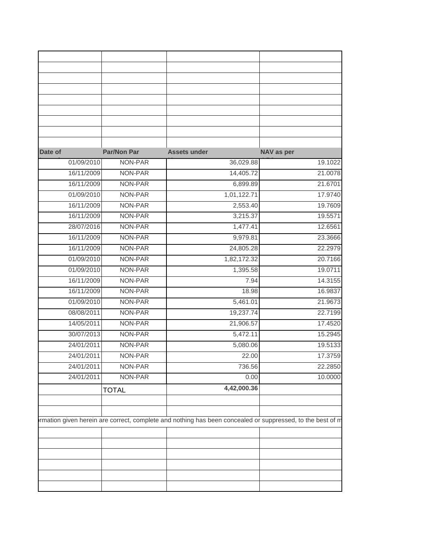| Date of    | Par/Non Par  | <b>Assets under</b> | NAV as per |
|------------|--------------|---------------------|------------|
| 01/09/2010 | NON-PAR      | 36,029.88           | 19.1022    |
| 16/11/2009 | NON-PAR      | 14,405.72           | 21.0078    |
| 16/11/2009 | NON-PAR      | 6,899.89            | 21.6701    |
| 01/09/2010 | NON-PAR      | 1,01,122.71         | 17.9740    |
| 16/11/2009 | NON-PAR      | 2,553.40            | 19.7609    |
| 16/11/2009 | NON-PAR      | 3,215.37            | 19.5571    |
| 28/07/2016 | NON-PAR      | 1,477.41            | 12.6561    |
| 16/11/2009 | NON-PAR      | 9,979.81            | 23.3666    |
| 16/11/2009 | NON-PAR      | 24,805.28           | 22.2979    |
| 01/09/2010 | NON-PAR      | 1,82,172.32         | 20.7166    |
| 01/09/2010 | NON-PAR      | 1,395.58            | 19.0711    |
| 16/11/2009 | NON-PAR      | 7.94                | 14.3155    |
| 16/11/2009 | NON-PAR      | 18.98               | 16.9837    |
| 01/09/2010 | NON-PAR      | 5,461.01            | 21.9673    |
| 08/08/2011 | NON-PAR      | 19,237.74           | 22.7199    |
| 14/05/2011 | NON-PAR      | 21,906.57           | 17.4520    |
| 30/07/2013 | NON-PAR      | 5,472.11            | 15.2945    |
| 24/01/2011 | NON-PAR      | 5,080.06            | 19.5133    |
| 24/01/2011 | NON-PAR      | 22.00               | 17.3759    |
| 24/01/2011 | NON-PAR      | 736.56              | 22.2850    |
|            | NON-PAR      | 0.00                | 10.0000    |
|            |              |                     |            |
| 24/01/2011 | <b>TOTAL</b> | 4,42,000.36         |            |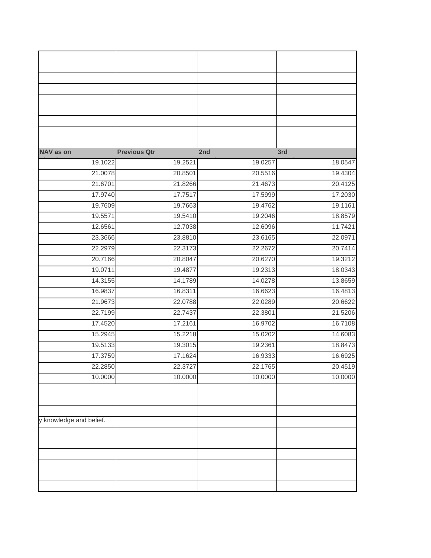| 3rd     |         | <b>Previous Qtr</b><br>2nd | NAV as on               |
|---------|---------|----------------------------|-------------------------|
| 18.0547 | 19.0257 | 19.2521                    | 19.1022                 |
| 19.4304 | 20.5516 | 20.8501                    | 21.0078                 |
| 20.4125 | 21.4673 | 21.8266                    | 21.6701                 |
| 17.2030 | 17.5999 | 17.7517                    | 17.9740                 |
| 19.1161 | 19.4762 | 19.7663                    | 19.7609                 |
| 18.8579 | 19.2046 | 19.5410                    | 19.5571                 |
| 11.7421 | 12.6096 | 12.7038                    | 12.6561                 |
| 22.0971 | 23.6165 | 23.8810                    | 23.3666                 |
| 20.7414 | 22.2672 | 22.3173                    | 22.2979                 |
| 19.3212 | 20.6270 | 20.8047                    | 20.7166                 |
| 18.0343 | 19.2313 | 19.4877                    | 19.0711                 |
| 13.8659 | 14.0278 | 14.1789                    | 14.3155                 |
| 16.4813 | 16.6623 | 16.8311                    | 16.9837                 |
| 20.6622 | 22.0289 | 22.0788                    | 21.9673                 |
| 21.5206 | 22.3801 | 22.7437                    | 22.7199                 |
| 16.7108 | 16.9702 | 17.2161                    | 17.4520                 |
| 14.6083 | 15.0202 | 15.2218                    | 15.2945                 |
| 18.8473 | 19.2361 | 19.3015                    | 19.5133                 |
| 16.6925 | 16.9333 | 17.1624                    | 17.3759                 |
| 20.4519 | 22.1765 | 22.3727                    | 22.2850                 |
| 10.0000 | 10.0000 | 10.0000                    | 10.0000                 |
|         |         |                            |                         |
|         |         |                            |                         |
|         |         |                            |                         |
|         |         |                            | y knowledge and belief. |
|         |         |                            |                         |
|         |         |                            |                         |
|         |         |                            |                         |
|         |         |                            |                         |
|         |         |                            |                         |
|         |         |                            |                         |
|         |         |                            |                         |